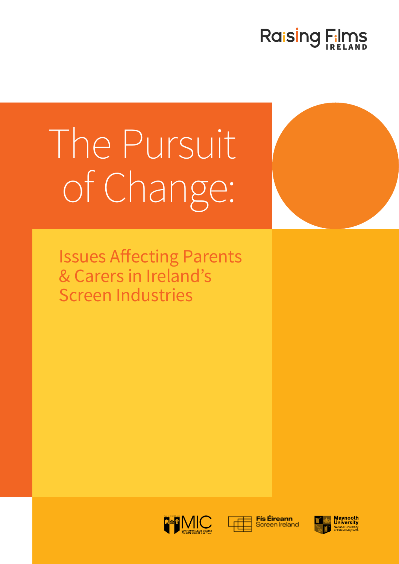## Raising Films

# The Pursuit of Change:

Issues Affecting Parents & Carers in Ireland's Screen Industries





**Fís Éireann Screen Ireland** 

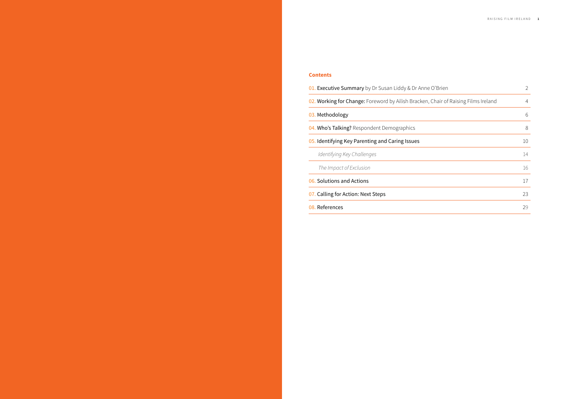| าe O'Brien                        | $\overline{2}$ |
|-----------------------------------|----------------|
| n, Chair of Raising Films Ireland | 4              |
|                                   | 6              |
|                                   | 8              |
|                                   | 10             |
|                                   | 14             |
|                                   | 16             |
|                                   | 17             |
|                                   | 23             |
|                                   | 29             |
|                                   |                |

#### **Contents**

- 01. Executive Summary by Dr Susan Liddy & Dr Ann
- 02. Working for Change: Foreword by Ailish Bracken

03. Methodology

04. Who's Talking? Respondent Demographics

05. Identifying Key Parenting and Caring Issues

*Identifying Key Challenges* 

**The Impact of Exclusion** 

06. Solutions and Actions

07. Calling for Action: Next Steps

08. References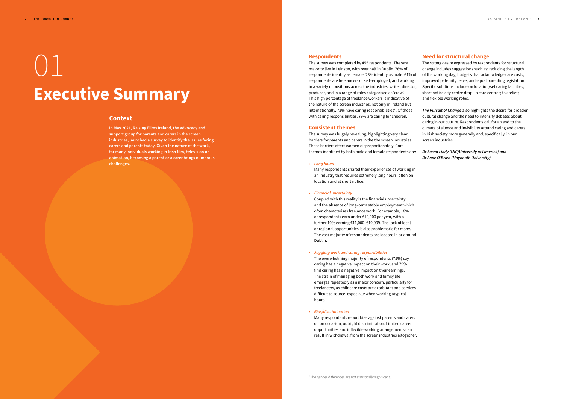## 01 **Executive Summary**

#### **Context**

**In May 2021, Raising Films Ireland, the advocacy and support group for parents and carers in the screen industries, launched a survey to identify the issues facing carers and parents today. Given the nature of the work, for many individuals working in Irish film, television or animation, becoming a parent or a carer brings numerous challenges.** 

#### **Respondents**

The survey was completed by 455 respondents. The vast majority live in Leinster, with over half in Dublin. 76% of respondents identify as female, 23% identify as male. 61% of respondents are freelancers or self–employed, and working in a variety of positions across the industries; writer, director, producer, and in a range of roles categorised as 'crew'. This high percentage of freelance workers is indicative of the nature of the screen industries, not only in Ireland but internationally. 73% have caring responsibilities\*. Of those with caring responsibilities, 79% are caring for children.

#### **Consistent themes**

The survey was hugely revealing, highlighting very clear barriers for parents and carers in the the screen industries. These barriers affect women disproportionately. Core themes identified by both male and female respondents are:

• *Long hours* 

Many respondents shared their experiences of working in an industry that requires extremely long hours, often on location and at short notice.

#### • *Financial uncertainty*

Coupled with this reality is the financial uncertainty, and the absence of long–term stable employment which often characterises freelance work. For example, 18% of respondents earn under €10,000 per year, with a further 10% earning €11,000–€19,999. The lack of local or regional opportunities is also problematic for many. The vast majority of respondents are located in or around Dublin.

#### • *Juggling work and caring responsibilities*

The overwhelming majority of respondents (75%) say caring has a negative impact on their work, and 79% find caring has a negative impact on their earnings. The strain of managing both work and family life emerges repeatedly as a major concern, particularly for freelancers, as childcare costs are exorbitant and services difficult to source, especially when working atypical hours.

#### • *Bias/discrimination*

Many respondents report bias against parents and carers or, on occasion, outright discrimination. Limited career opportunities and inflexible working arrangements can result in withdrawal from the screen industries altogether.

#### **Need for structural change**

The strong desire expressed by respondents for structural change includes suggestions such as: reducing the length of the working day; budgets that acknowledge care costs; improved paternity leave; and equal parenting legislation. Specific solutions include on location/set caring facilities; short notice city centre drop–in care centres; tax relief; and flexible working roles.

*The Pursuit of Change* also highlights the desire for broader cultural change and the need to intensify debates about caring in our culture. Respondents call for an end to the climate of silence and invisibility around caring and carers in Irish society more generally and, specifically, in our screen industries.

*Dr Susan Liddy (MIC/University of Limerick) and Dr Anne O'Brien (Maynooth University)*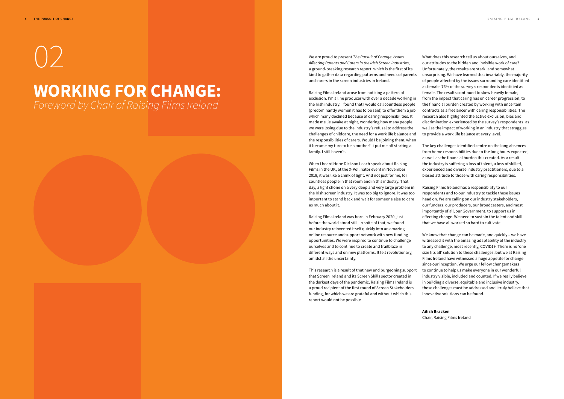# 02 **WORKING FOR CHANGE:**

*Foreword by Chair of Raising Films Ireland*

We are proud to present *The Pursuit of Change: Issues Affecting Parents and Carers in the Irish Screen Industries,* a ground-breaking research report, which is the first of its kind to gather data regarding patterns and needs of parents and carers in the screen industries in Ireland.

Raising Films Ireland arose from noticing a pattern of exclusion. I'm a line producer with over a decade working in the Irish industry. I found that I would call countless people (predominantly women it has to be said) to offer them a job which many declined because of caring responsibilities. It made me lie awake at night, wondering how many people we were losing due to the industry's refusal to address the challenges of childcare, the need for a work life balance and the responsibilities of carers. Would I be joining them, when it became my turn to be a mother? It put me off starting a

family. I still haven't.

When I heard Hope Dickson Leach speak about Raising Films in the UK, at the X-Pollinator event in November 2019, it was like a chink of light. And not just for me, for countless people in that room and in this industry. That day, a light shone on a very deep and very large problem in the Irish screen industry. It was too big to ignore. It was too important to stand back and wait for someone else to care as much about it.

Raising Films Ireland was born in February 2020, just before the world stood still. In spite of that, we found our industry reinvented itself quickly into an amazing online resource and support network with new funding opportunities. We were inspired to continue to challenge ourselves and to continue to create and trailblaze in different ways and on new platforms. It felt revolutionary, amidst all the uncertainty.

This research is a result of that new and burgeoning support that Screen Ireland and its Screen Skills sector created in the darkest days of the pandemic. Raising Films Ireland is a proud recipient of the first round of Screen Stakeholders funding, for which we are grateful and without which this report would not be possible

What does this research tell us about ourselves, and our attitudes to the hidden and invisible work of care? Unfortunately, the results are stark, and somewhat unsurprising. We have learned that invariably, the majority of people affected by the issues surrounding care identified as female. 76% of the survey's respondents identified as female. The results continued to skew heavily female, from the impact that caring has on career progression, to the financial burden created by working with uncertain contracts as a freelancer with caring responsibilities. The research also highlighted the active exclusion, bias and discrimination experienced by the survey's respondents, as well as the impact of working in an industry that struggles to provide a work life balance at every level.

The key challenges identified centre on the long absences from home responsibilities due to the long hours expected, as well as the financial burden this created. As a result the industry is suffering a loss of talent, a loss of skilled, experienced and diverse industry practitioners, due to a biased attitude to those with caring responsibilities.

Raising Films Ireland has a responsibility to our respondents and to our industry to tackle these issues head on. We are calling on our industry stakeholders, our funders, our producers, our broadcasters, and most importantly of all, our Government, to support us in effecting change. We need to sustain the talent and skill that we have all worked so hard to cultivate.

We know that change can be made, and quickly – we have witnessed it with the amazing adaptability of the industry to any challenge, most recently, COVID19. There is no 'one size fits all' solution to these challenges, but we at Raising Films Ireland have witnessed a huge appetite for change since our inception. We urge our fellow changemakers to continue to help us make everyone in our wonderful industry visible, included and counted. If we really believe in building a diverse, equitable and inclusive industry, these challenges must be addressed and I truly believe that innovative solutions can be found.

#### **Ailish Bracken**

Chair, Raising Films Ireland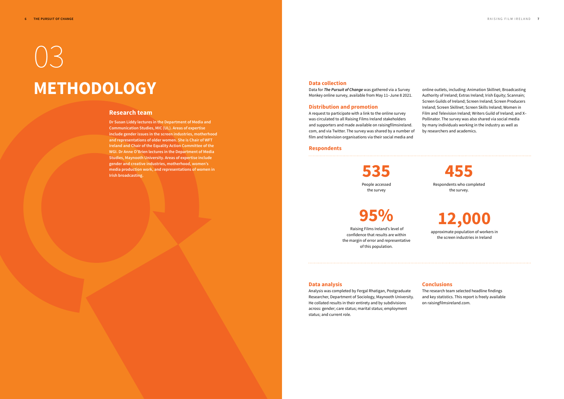#### **Data collection**

Data for *The Pursuit of Change* was gathered via a Survey Monkey online survey, available from May 11–June 8 2021.

#### **Distribution and promotion**

A request to participate with a link to the online survey was circulated to all Raising Films Ireland stakeholders and supporters and made available on raisingfilmsireland. com, and via Twitter. The survey was shared by a number of film and television organisations via their social media and

online outlets, including: Animation Skillnet; Broadcasting Authority of Ireland; Extras Ireland; Irish Equity; Scannain; Screen Guilds of Ireland; Screen Ireland; Screen Producers Ireland; Screen Skillnet; Screen Skills Ireland; Women in Film and Television Ireland; Writers Guild of Ireland; and X– Pollinator. The survey was also shared via social media by many individuals working in the industry as well as by researchers and academics.

#### **Respondents**

**535** People accessed the survey



Respondents who completed the survey.



## **95%**

 Raising Films Ireland's level of confidence that results are within the margin of error and representative of this population.

#### **Data analysis**

Analysis was completed by Fergal Rhatigan, Postgraduate Researcher, Department of Sociology, Maynooth University. He collated results in their entirety and by subdivisions across: gender; care status; marital status; employment status; and current role.

#### **Conclusions**

The research team selected headline findings and key statistics. This report is freely available on raisingfilmsireland.com.

#### **Research team**

**Dr Susan Liddy lectures in the Department of Media and Communication Studies, MIC (UL). Areas of expertise include gender issues in the screen industries, motherhood and representations of older women. She is Chair of WFT Ireland and Chair of the Equality Action Committee of the WGI. Dr Anne O'Brien lectures in the Department of Media Studies, Maynooth University. Areas of expertise include gender and creative industries, motherhood, women's media production work, and representations of women in Irish broadcasting.**

# 03 **METHODOLOGY**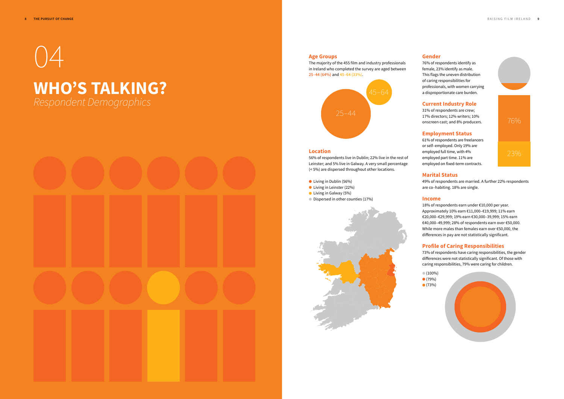# $\Delta$

## **WHO'S TALKING?**

*Respondent Demographics* 



#### **Age Groups**

The majority of the 455 film and industry professionals in Ireland who completed the survey are aged between **25–44 (64%)** and **45–64 (33%**).



#### **Location**

- Living in Dublin (56%)
- Living in Leinster (22%)
- **C** Living in Galway (5%)
- Dispersed in other counties (17%)



56% of respondents live in Dublin; 22% live in the rest of Leinster; and 5% live in Galway. A very small percentage (< 5%) are dispersed throughout other locations.

#### **Gender**

76% of respondents identify as female, 23% identify as male. This flags the uneven distribution of caring responsibilities for professionals, with women carrying a disproportionate care burden.

#### **Current Industry Role**

31% of respondents are crew; 17% directors; 12% writers; 10% onscreen cast; and 8% producers.

 $(100\%)$  (79%) (73%)



#### **Employment Status**

61% of respondents are freelancers or self–employed. Only 19% are employed full time, with 4% employed part time. 11% are employed on fixed-term contracts.

#### **Marital Status**

49% of respondents are married. A further 22% respondents are co–habiting. 18% are single.

#### **Income**

18% of respondents earn under €10,000 per year. Approximately 10% earn €11,000–€19,999; 11% earn €20,000–€29,999; 19% earn €30,000–39,999; 15% earn €40,000–49,999; 28% of respondents earn over €50,000. While more males than females earn over €50,000, the differences in pay are not statistically significant.

#### **Profile of Caring Responsibilities**

73% of respondents have caring responsibilities, the gender differences were not statistically significant. Of those with caring responsibilities, 79% were caring for children.

# 76%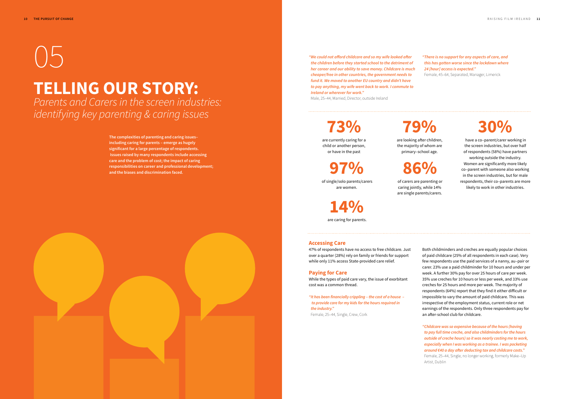## **30%**

 have a co–parent/carer working in the screen industries, but over half of respondents (58%) have partners working outside the industry. Women are significantly more likely co–parent with someone also working in the screen industries, but for male respondents, their co–parents are more likely to work in other industries.

**73%** 

are currently caring for a child or another person, or have in the past

**79%** 

are looking after children, the majority of whom are primary–school age.

**14%** are caring for parents. **86%**

 of carers are parenting or caring jointly, while 14% are single parents/carers.

**97%**

 of single/solo parents/carers are women.

# $( ) \rightarrow$

### **TELLING OUR STORY:** *Parents and Carers in the screen industries:*

*identifying key parenting & caring issues*

**The complexities of parenting and caring issues– including caring for parents – emerge as hugely significant for a large percentage of respondents. Issues raised by many respondents include accessing care and the problem of cost; the impact of caring responsibilities on career and professional development; and the biases and discrimination faced.** 



Male, 25–44, Married, Director, outside Ireland

*"There is no support for any aspects of care, and this has gotten worse since the lockdown where 24 [hour] access is expected."* 

Female, 45–64, Separated, Manager, Limerick



**Accessing Care**

47% of respondents have no access to free childcare. Just over a quarter (28%) rely on family or friends for support

while only 11% access State-provided care relief.

#### **Paying for Care**

While the types of paid care vary, the issue of exorbitant cost was a common thread.

*"It has been financially crippling – the cost of a house – to provide care for my kids for the hours required in the industry."*  Female, 25–44, Single, Crew, Cork

Both childminders and creches are equally popular choices of paid childcare (25% of all respondents in each case). Very few respondents use the paid services of a nanny, au–pair or carer. 23% use a paid childminder for 10 hours and under per week. A further 30% pay for over 25 hours of care per week. 35% use creches for 10 hours or less per week, and 33% use creches for 25 hours and more per week. The majority of respondents (64%) report that they find it either difficult or impossible to vary the amount of paid childcare. This was irrespective of the employment status, current role or net earnings of the respondents. Only three respondents pay for an after-school club for childcare.

*"Childcare was so expensive because of the hours (having to pay full time creche, and also childminders for the hours outside of creche hours) so it was nearly costing me to work, especially when I was working as a trainee. I was pocketing around €40 a day after deducting tax and childcare costs."*  Female, 25–44, Single, no longer working, formerly Make–Up

Artist, Dublin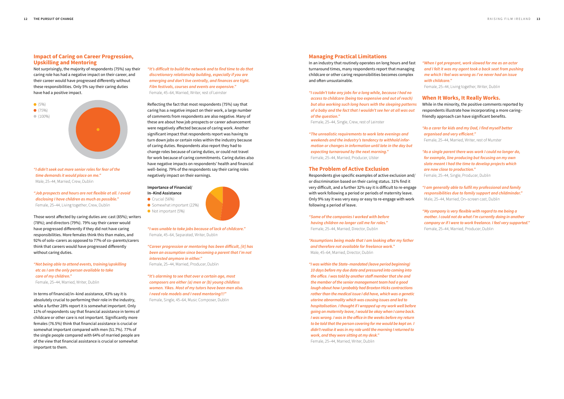#### **Impact of Caring on Career Progression, Upskilling and Mentoring**

Not surprisingly, the majority of respondents (75%) say their caring role has had a negative impact on their career, and their career would have progressed differently without these responsibilities. Only 5% say their caring duties have had a positive impact.



- *"I didn't seek out more senior roles for fear of the time demands it would place on me."* Male, 25–44, Married, Crew, Dublin
- *"Job prospects and hours are not flexible at all. I avoid disclosing I have children as much as possible."*  Female, 25–44, Living together, Crew, Dublin

Those worst affected by caring duties are: cast (85%); writers (78%); and directors (79%). 79% say their career would have progressed differently if they did not have caring responsibilities. More females think this than males, and 92% of solo–carers as opposed to 77% of co–parents/carers think that careers would have progressed differently without caring duties.

#### *"Not being able to attend events, training/upskilling etc as I am the only person available to take care of my children."*  Female, 25–44, Married, Writer, Dublin

- **In–Kind Assistance**
- $\bullet$  Crucial (56%)
- Somewhat important (22%) Not important (5%)



In terms of financial/in–kind assistance, 43% say it is absolutely crucial to performing their role in the industry, while a further 28% report it is somewhat important. Only 11% of respondents say that financial assistance in terms of childcare or other care is not important. Significantly more females (76.5%) think that financial assistance is crucial or somewhat important compared with men (51.7%). 77% of the single people compared with 64% of married people are of the view that financial assistance is crucial or somewhat important to them.

*"It's difficult to build the network and to find time to do that discretionary relationship building, especially if you are emerging and don't live centrally, and finances are tight. Film festivals, courses and events are expensive."*  Female, 45–64, Married, Writer, rest of Leinster

Reflecting the fact that most respondents (75%) say that caring has a negative impact on their work, a large number of comments from respondents are also negative. Many of these are about how job prospects or career advancement were negatively affected because of caring work. Another significant impact that respondents report was having to turn down jobs or certain roles within the industry because of caring duties. Respondents also report they had to change roles because of caring duties, or could not travel for work because of caring commitments. Caring duties also have negative impacts on respondents' health and financial well–being. 79% of the respondents say their caring roles negatively impact on their earnings.

#### **Importance of Financial/**

*"I was unable to take jobs because of lack of childcare."* Female, 45–64, Separated, Writer, Dublin

*"Career progression or mentoring has been difficult, [it] has been an assumption since becoming a parent that I'm not interested anymore in either."*  Female, 25–44, Married, Producer, Dublin

*"It's alarming to see that over a certain age, most composers are either (a) men or (b) young childless women. Yikes. Most of my tutors have been men also. I need role models and I need mentoring!!!"*  Female, Single, 45–64, Music Composer, Dublin

#### **Managing Practical Limitations**

In an industry that routinely operates on long hours and fast turnaround times, many respondents report that managing childcare or other caring responsibilities becomes complex and often unsustainable.

*"I couldn't take any jobs for a long while, because I had no access to childcare (being too expensive and out of reach) but also working such long hours with the sleeping patterns of a baby and the fact that I wouldn't see her at all was out of the question."* 

Female, 25–44, Single, Crew, rest of Leinster

*"The unrealistic requirements to work late evenings and weekends and the industry's tendency to withhold information or changes in information until late in the day but expecting turnaround by the next morning."*  Female, 25–44, Married, Producer, Ulster

#### **The Problem of Active Exclusion**

Respondents give specific examples of active exclusion and/ or discrimination based on their caring status. 31% find it very difficult, and a further 32% say it is difficult to re-engage with work following a period or periods of maternity leave. Only 9% say it was very easy or easy to re-engage with work following a period of leave.

*"Some of the companies I worked with before having children no longer call me for roles."*  Female, 25–44, Married, Director, Dublin

*"Assumptions being made that I am looking after my father and therefore not available for freelance work."*  Male, 45–64, Married, Director, Dublin

*"I was within the State–mandated (leave period beginning) 10 days before my due date and pressured into coming into the office. I was told by another staff member that she and the member of the senior management team had a good laugh about how I probably had Braxton Hicks contractions rather than the medical issue I did have, which was a genetic uterine abnormality which was causing issues and led to hospitalisation. I thought if I wrapped up my work well before going on maternity leave, I would be okay when I came back. I was wrong. I was in the office in the weeks before my return to be told that the person covering for me would be kept on. I didn't realise it was in my role until the morning I returned to work, and they were sitting at my desk."*  Female, 25–44, Married, Writer, Dublin

*"When I got pregnant, work slowed for me as an actor and I felt it was my agent took a back seat from pushing me which I feel was wrong as I've never had an issue with childcare."* 

Female, 25–44, Living together, Writer, Dublin

#### **When It Works, It Really Works.**

While in the minority, the positive comments reported by respondents illustrate how incorporating a more caring– friendly approach can have significant benefits.

*"As a carer for kids and my Dad, I find myself better organised and very efficient."*  Female, 25–44, Married, Writer, rest of Munster

*"As a single parent there was work I could no longer do, for example, line producing but focusing on my own slate meant I had the time to develop projects which are now close to production."*  Female, 25–44, Single, Producer, Dublin

*"I am generally able to fulfil my professional and family responsibilities due to family support and childminder."*  Male, 25–44, Married, On–screen cast, Dublin

*"My company is very flexible with regard to me being a mother. I could not do what I'm currently doing in another company or if I were to work freelance. I feel very supported."* Female, 25–44, Married, Producer, Dublin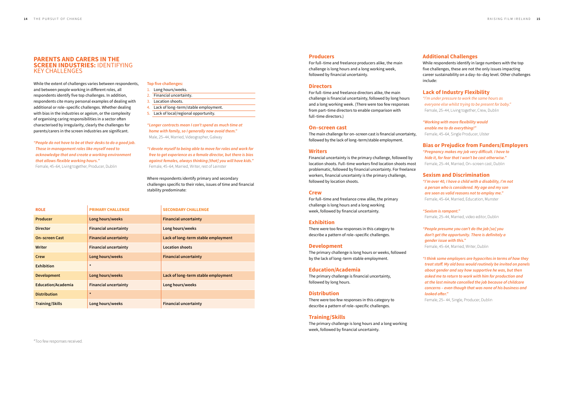#### **PARENTS AND CARERS IN THE SCREEN INDUSTRIES:** IDENTIFYING KEY CHALLENGES

While the extent of challenges varies between respondents, and between people working in different roles, all respondents identify five top challenges. In addition, respondents cite many personal examples of dealing with additional or role–specific challenges. Whether dealing with bias in the industries or ageism, or the complexity of organising caring responsibilities in a sector often characterised by irregularity, clearly the challenges for parents/carers in the screen industries are significant.

#### *"People do not have to be at their desks to do a good job. Those in management roles like myself need to acknowledge that and create a working environment that allows flexible working hours."*  Female, 45–64, Living together, Producer, Dublin

#### **Top five challenges:**

- 1. Long hours/weeks.
- 2. Financial uncertainty.
- 3. Location shoots.
- 4. Lack of long–term/stable employment.
- 5. Lack of local/regional opportunity.

*"Longer contracts mean I can't spend as much time at home with family, so I generally now avoid them."* Male, 25–44, Married, Videographer, Galway

*"I devote myself to being able to move for roles and work for free to get experience as a female director, but there is bias against females, always thinking [that] you will have kids."*  Female, 45–64, Married, Writer, rest of Leinster

Where respondents identify primary and secondary challenges specific to their roles, issues of time and financial stability predominate:

| <b>ROLE</b>               | <b>PRIMARY CHALLENGE</b>     | <b>SECONDARY CHALLENGE</b>          |
|---------------------------|------------------------------|-------------------------------------|
| <b>Producer</b>           | Long hours/weeks             | <b>Financial uncertainty</b>        |
| <b>Director</b>           | <b>Financial uncertainty</b> | Long hours/weeks                    |
| <b>On-screen Cast</b>     | <b>Financial uncertainty</b> | Lack of long-term stable employment |
| <b>Writer</b>             | <b>Financial uncertainty</b> | <b>Location shoots</b>              |
| Crew                      | Long hours/weeks             | <b>Financial uncertainty</b>        |
| <b>Exhibition</b>         | $\star$                      |                                     |
| <b>Development</b>        | Long hours/weeks             | Lack of long-term stable employment |
| <b>Education/Academia</b> | <b>Financial uncertainty</b> | Long hours/weeks                    |
| <b>Distribution</b>       | $\star$                      |                                     |
| <b>Training/Skills</b>    | Long hours/weeks             | <b>Financial uncertainty</b>        |

\*Too few responses received.

#### **Producers**

For full–time and freelance producers alike, the main challenge is long hours and a long working week, followed by financial uncertainty.

#### **Directors**

For full–time and freelance directors alike, the main challenge is financial uncertainty, followed by long hours and a long working week. (There were too few responses from part–time directors to enable comparison with full–time directors.)

#### **On–screen cast**

The main challenge for on–screen cast is financial uncertainty, followed by the lack of long–term/stable employment.

#### **Writers**

Financial uncertainty is the primary challenge, followed by location shoots. Full–time workers find location shoots most problematic, followed by financial uncertainty. For freelance workers, financial uncertainty is the primary challenge, followed by location shoots.

#### **Crew**

For full–time and freelance crew alike, the primary challenge is long hours and a long working week, followed by financial uncertainty.

#### **Exhibition**

There were too few responses in this category to describe a pattern of role–specific challenges.

#### **Development**

The primary challenge is long hours or weeks, followed by the lack of long–term stable employment.

#### **Education/Academia**

The primary challenge is financial uncertainty, followed by long hours.

#### **Distribution**

There were too few responses in this category to describe a pattern of role–specific challenges.

#### **Training/Skills**

The primary challenge is long hours and a long working week, followed by financial uncertainty.

#### **Additional Challenges**

While respondents identify in large numbers with the top five challenges, these are not the only issues impacting career sustainability on a day–to–day level. Other challenges include:

#### **Lack of Industry Flexibility**

*"I'm under pressure to work the same hours as everyone else whilst trying to be present for baby."*  Female, 25–44, Living together, Crew, Dublin

*"Working with more flexibility would enable me to do everything!"* Female, 45–64, Single Producer, Ulster

#### **Bias or Prejudice from Funders/Employers**

*"Pregnancy makes my job very difficult. I have to hide it, for fear that I won't be cast otherwise."*  Female, 25–44, Married, On–screen cast, Dublin

#### **Sexism and Discrimination**

*"I'm over 40, I have a child with a disability, I'm not a person who is considered. My age and my son are seen as valid reasons not to employ me."*  Female, 45–64, Married, Education, Munster

#### *"Sexism is rampant."*

Female, 25–44, Married, video editor, Dublin

*"People presume you can't do the job [so] you don't get the opportunity. There is definitely a gender issue with this."* 

Female, 45–64, Married, Writer, Dublin

*"I think some employers are hypocrites in terms of how they treat staff. My old boss would routinely be invited on panels about gender and say how supportive he was, but then asked me to return to work with him for production and at the last minute cancelled the job because of childcare concerns – even though that was none of his business and looked after."* 

Female, 25– 44, Single, Producer, Dublin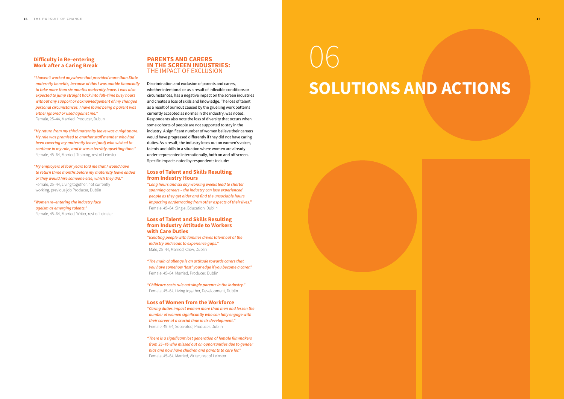#### **Difficulty in Re–entering Work after a Caring Break**

*"I haven't worked anywhere that provided more than State maternity benefits, because of this I was unable financially to take more than six months maternity leave. I was also expected to jump straight back into full–time busy hours without any support or acknowledgement of my changed personal circumstances. I have found being a parent was either ignored or used against me."* 

Female, 25–44, Married, Producer, Dublin

*"My return from my third maternity leave was a nightmare. My role was promised to another staff member who had been covering my maternity leave [and] who wished to continue in my role, and it was a terribly upsetting time."*  Female, 45–64, Married, Training, rest of Leinster

*"My employers of four years told me that I would have to return three months before my maternity leave ended or they would hire someone else, which they did."*  Female, 25–44, Living together, not currently working, previous job Producer, Dublin

#### *"Women re–entering the industry face ageism as emerging talents."*

Female, 45–64, Married, Writer, rest of Leinster

#### **PARENTS AND CARERS IN THE SCREEN INDUSTRIES:**  THE IMPACT OF EXCLUSION

Discrimination and exclusion of parents and carers, whether intentional or as a result of inflexible conditions or circumstances, has a negative impact on the screen industries and creates a loss of skills and knowledge. The loss of talent as a result of burnout caused by the gruelling work patterns currently accepted as normal in the industry, was noted. Respondents also note the loss of diversity that occurs when some cohorts of people are not supported to stay in the industry. A significant number of women believe their careers would have progressed differently if they did not have caring duties. As a result, the industry loses out on women's voices, talents and skills in a situation where women are already under–represented internationally, both on and off screen. Specific impacts noted by respondents include:

#### **Loss of Talent and Skills Resulting from Industry Hours**

*"Long hours and six day working weeks lead to shorter spanning careers – the industry can lose experienced people as they get older and find the unsociable hours impacting on/detracting from other aspects of their lives."*  Female, 45–64, Single, Education, Dublin

#### **Loss of Talent and Skills Resulting from Industry Attitude to Workers with Care Duties**

*"Isolating people with families drives talent out of the industry and leads to experience gaps."*  Male, 25–44, Married, Crew, Dublin

*"The main challenge is an attitude towards carers that you have somehow 'lost' your edge if you become a carer."*  Female, 45–64, Married, Producer, Dublin

*"Childcare costs rule out single parents in the industry."* Female, 45–64, Living together, Development, Dublin

#### **Loss of Women from the Workforce**

*"Caring duties impact women more than men and lessen the number of women significantly who can fully engage with their career at a crucial time in its development."* Female, 45–64, Separated, Producer, Dublin

*"There is a significant lost generation of female filmmakers from 35–45 who missed out on opportunities due to gender bias and now have children and parents to care for."*  Female, 45–64, Married, Writer, rest of Leinster

# 06 **SOLUTIONS AND ACTIONS**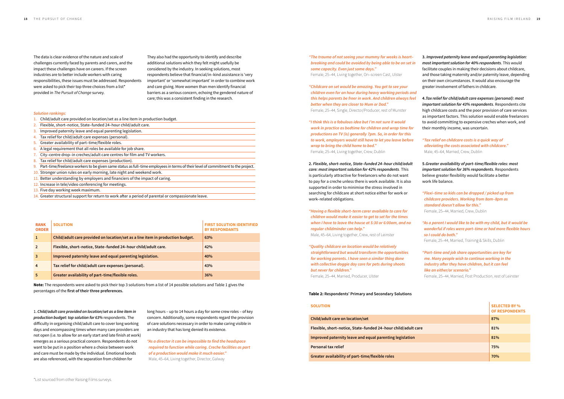The data is clear evidence of the nature and scale of challenges currently faced by parents and carers, and the impact these challenges have on careers. If the screen industries are to better include workers with caring responsibilities, these issues must be addressed. Respondents were asked to pick their top three choices from a list\* provided in *The Pursuit of Change* survey.

They also had the opportunity to identify and describe additional solutions which they felt might usefully be considered by the industry. In seeking solutions, most respondents believe that financial/in–kind assistance is 'very important' or 'somewhat important' in order to combine work and care giving. More women than men identify financial barriers as a serious concern, echoing the gendered nature of care; this was a consistent finding in the research.

1. *Child/adult care provided on location/set as a line item in production budget: top solution for 63%* respondents. The difficulty in organising child/adult care to cover long working days and encompassing times when many care providers are not open (i.e. to allow for an early start and late finish at work) emerges as a serious practical concern. Respondents do not want to be put in a position where a choice between work and care must be made by the individual. Emotional bonds are also referenced, with the separation from children for

long hours – up to 14 hours a day for some crew roles – of key concern. Additionally, some respondents regard the provision of care solutions necessary in order to make caring visible in an industry that has long denied its existence.

*"As a director it can be impossible to find the headspace required to function while caring. Creche facilities as part of a production would make it much easier."*  Male, 45–64, Living together, Director, Galway

| "The trauma of not seeing your mummy for weeks is heart-<br>breaking and could be avoided by being able to be on set in<br>some capacity. Even just some days."<br>Female, 25-44, Living together, On-screen Cast, Ulster                                                                                                                       |
|-------------------------------------------------------------------------------------------------------------------------------------------------------------------------------------------------------------------------------------------------------------------------------------------------------------------------------------------------|
| "Childcare on set would be amazing. You get to see your<br>children even for an hour during heavy working periods and<br>this helps parents be freer in work. And children always feel<br>better when they are closer to Mum or Dad."<br>Female, 25-44, Single, Director/Producer, rest of Munster                                              |
| "I think this is a fabulous idea but I'm not sure it would<br>work in practice as bedtime for children and wrap time for<br>productions on TV (is) generally 7pm. So, in order for this<br>to work, employers would still have to let you leave before<br>wrap to bring the child home to bed."<br>Female, 25-44, Living together, Crew, Dublin |
| 2. Flexible, short-notice, State-funded 24-hour child/adult<br>care: most important solution for 42% respondents. This                                                                                                                                                                                                                          |
| is particularly attractive for freelancers who do not want<br>to pay for a creche unless there is work available. It is also<br>supported in order to minimise the stress involved in<br>searching for childcare at short notice either for work or<br>work-related obligations.                                                                |
| "Having a flexible short-term carer available to care for<br>children would make it easier to get to set for the times<br>when I have to leave the house at 5:30 or 6:00am, and no<br>regular childminder can help."<br>Male, 45-64, Living together, Crew, rest of Leinster                                                                    |
| "Quality childcare on location would be relatively<br>straightforward but would transform the opportunities<br>for working parents. I have seen a similar thing done<br>with collective doggie day care for pets during shoots<br>but never for children."<br>Female, 25-44, Married, Producer, Ulster                                          |

**Note:** The respondents were asked to pick their top 3 solutions from a list of 14 possible solutions and Table 1 gives the percentages of the first of their three preferences. **Table 2:** *Tab*  **3.** *Improved paternity leave and equal parenting legislation: most important solution for 40% respondents*. This would facilitate couples in making their decisions about childcare, and those taking maternity and/or paternity leave, depending on their own circumstances. It would also encourage the greater involvement of fathers in childcare.

**4.***Tax relief for child/adult care expenses (personal): most important solution for 43% respondents*. Respondents cite high childcare costs and the poor provision of care services as important factors. This solution would enable freelancers to avoid committing to expensive creches when work, and their monthly income, was uncertain.

*"Tax relief on childcare costs is a quick way of alleviating the costs associated with childcare."*  Male, 45–64, Married, Crew, Dublin

**5.***Greater availability of part–time/flexible roles: most important solution for 36% respondents*. Respondents believe greater flexibility would facilitate a better work life balance.

*"Flexi–time so kids can be dropped / picked up from childcare providers. Working from 8am–8pm as standard doesn't allow for this."*  Female, 25–44, Married, Crew, Dublin

*"As a parent I would like to be with my child, but it would be wonderful if roles were part–time or had more flexible hours so I could do both."*

Female, 25–44, Married, Training & Skills, Dublin

*"Part–time and job share opportunities are key for me. Many people wish to continue working in the industry after they have children, but it can feel like an either/or scenario."*

Female, 25–44, Married, Post Production, rest of Leinster

| <b>RANK</b><br><b>ORDER</b> | <b>SOLUTION</b>                                                                | <b>FIRST SOLUTION IDENTIFIED</b><br><b>BY RESPONDANTS</b> |
|-----------------------------|--------------------------------------------------------------------------------|-----------------------------------------------------------|
|                             | Child/adult care provided on location/set as a line item in production budget. | 63%                                                       |
| $\overline{2}$              | Flexible, short-notice, State-funded 24-hour child/adult care.                 | 42%                                                       |
| 3                           | Improved paternity leave and equal parenting legislation.                      | 40%                                                       |
| $\overline{4}$              | Tax relief for child/adult care expenses (personal).                           | 43%                                                       |
| 5                           | Greater availability of part-time/flexible roles.                              | 36%                                                       |

| <b>SOLUTION</b>                                               | <b>SELECTED BY %</b><br><b>OF RESPONDENTS</b> |
|---------------------------------------------------------------|-----------------------------------------------|
| Child/adult care on location/set                              | 87%                                           |
| Flexible, short-notice, State-funded 24-hour child/adult care | 81%                                           |
| Improved paternity leave and equal parenting legislation      | 81%                                           |
| <b>Personal tax relief</b>                                    | 75%                                           |
| Greater availability of part-time/flexible roles              | 70%                                           |

| Child/adult care on location/set                              | 87% |
|---------------------------------------------------------------|-----|
| Flexible, short-notice, State-funded 24-hour child/adult care | 81% |
| Improved paternity leave and equal parenting legislation      | 81% |
| Personal tax relief                                           | 75% |
| Greater availability of part-time/flexible roles              | 70% |

#### *Solution rankings:*

- 1. Child/adult care provided on location/set as a line item in production budget.
- 2. Flexible, short–notice, State–funded 24–hour child/adult care.
- 3. Improved paternity leave and equal parenting legislation.
- 4. Tax relief for child/adult care expenses (personal).
- 5. Greater availability of part–time/flexible roles.
- 6. A legal requirement that all roles be available for job share.
- 7. City–centre drop–in creches/adult care centres for film and TV workers.
- 8. Tax relief for child/adult care expenses (production).
- 9. Part–time/freelance workers to be given same status as full–time employees in terms of their level of commitment to the project.
- 10. Stronger union rules on early morning, late night and weekend work.
- 11. Better understanding by employers and financiers of the impact of caring.
- 12. Increase in tele/video conferencing for meetings.
- 13. Five day working week maximum.
- 14. Greater structural support for return to work after a period of parental or compassionate leave.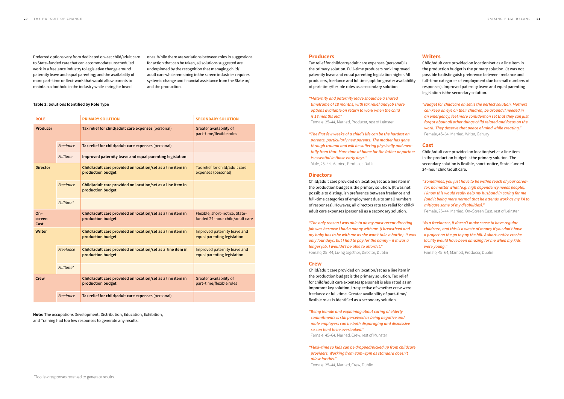#### **Producers**

Tax relief for childcare/adult care expenses (personal) is the primary solution. Full–time producers rank improved paternity leave and equal parenting legislation higher. All producers, freelance and fulltime, opt for greater availability of part–time/flexible roles as a secondary solution.

#### *"Maternity and paternity leave should be a shared timeframe of 18 months, with tax relief and job share options available on return to work when the child is 18 months old."*

Female, 25–44, Married, Producer, rest of Leinster

*"The first few weeks of a child's life can be the hardest on parents, particularly new parents. The mother has gone through trauma and will be suffering physically and mentally from that. More time at home for the father or partner is essential in those early days."*  Male, 25–44, Married, Producer, Dublin

#### **Directors**

Child/adult care provided on location/set as a line item in the production budget is the primary solution. (It was not possible to distinguish preference between freelance and full–time categories of employment due to small numbers of responses). However, all directors rate tax relief for child/ adult care expenses (personal) as a secondary solution.

*"The only reason I was able to do my most recent directing job was because I had a nanny with me (I breastfeed and my baby has to be with me as she won't take a bottle). It was only four days, but I had to pay for the nanny – if it was a longer job, I wouldn't be able to afford it."*  Female, 25–44, Living together, Director, Dublin

#### **Crew**

Child/adult care provided on location/set as a line item in the production budget is the primary solution. Tax relief for child/adult care expenses (personal) is also rated as an important key solution, irrespective of whether crew were freelance or full–time. Greater availability of part–time/ flexible roles is identified as a secondary solution.

*"Being female and explaining about caring of elderly commitments is still perceived as being negative and male employers can be both disparaging and dismissive so can tend to be overlooked."* 

Female, 45–64, Married, Crew, rest of Munster

*"Flexi–time so kids can be dropped/picked up from childcare providers. Working from 8am–8pm as standard doesn't allow for this."* 

Female, 25–44, Married, Crew, Dublin.

#### **Writers**

Child/adult care provided on location/set as a line item in the production budget is the primary solution. (It was not possible to distinguish preference between freelance and full–time categories of employment due to small numbers of responses). Improved paternity leave and equal parenting legislation is the secondary solution.

*"Budget for childcare on set is the perfect solution. Mothers can keep an eye on their children, be around if needed in an emergency, feel more confident on set that they can just forgot about all other things child related and focus on the work. They deserve that peace of mind while creating."*  Female, 45–64, Married, Writer, Galway

#### **Cast**

Child/adult care provided on location/set as a line item in the production budget is the primary solution. The secondary solution is flexible, short–notice, State–funded 24–hour child/adult care.

*"Sometimes, you just have to be within reach of your cared– for, no matter what (e.g. high dependency needs people). I know this would really help my husband in caring for me (and it being more normal that he attends work as my PA to mitigate some of my disabilities)."* 

Female, 25–44, Married, On–Screen Cast, rest of Leinster

*"As a freelancer, it doesn't make sense to have regular childcare, and this is a waste of money if you don't have a project on the go to pay the bill. A short–notice creche facility would have been amazing for me when my kids were young."* 

Female, 45–64, Married, Producer, Dublin

Preferred options vary from dedicated on–set child/adult care to State–funded care that can accommodate unscheduled work in a freelance industry to legislative change around paternity leave and equal parenting; and the availability of more part–time or flexi–work that would allow parents to maintain a foothold in the industry while caring for loved

#### **Table 3: Solutions Identified by Role Type**

**Note:** The occupations Development, Distribution, Education, Exhibition, and Training had too few responses to generate any results.

ones. While there are variations between roles in suggestions for action that can be taken, all solutions suggested are underpinned by the recognition that managing child/ adult care while remaining in the screen industries requires systemic change and financial assistance from the State or/ and the production.

| <b>ROLE</b>             |                 | <b>PRIMARY SOLUTION</b>                                                          | <b>SECONDARY SOLUTION</b>                                         |
|-------------------------|-----------------|----------------------------------------------------------------------------------|-------------------------------------------------------------------|
| Producer                |                 | Tax relief for child/adult care expenses (personal)                              | Greater availability of<br>part-time/flexible roles               |
|                         | Freelance       | Tax relief for child/adult care expenses (personal)                              |                                                                   |
|                         | <b>Fulltime</b> | Improved paternity leave and equal parenting legislation                         |                                                                   |
| <b>Director</b>         |                 | Child/adult care provided on location/set as a line item in<br>production budget | Tax relief for child/adult care<br>expenses (personal)            |
|                         | Freelance       | Child/adult care provided on location/set as a line item in<br>production budget |                                                                   |
|                         | Fulltime*       |                                                                                  |                                                                   |
|                         |                 |                                                                                  |                                                                   |
| $On-$<br>screen<br>Cast |                 | Child/adult care provided on location/set as a line item in<br>production budget | Flexible, short-notice, State-<br>funded 24-hour child/adult care |
| <b>Writer</b>           |                 | Child/adult care provided on location/set as a line item in<br>production budget | Improved paternity leave and<br>equal parenting legislation       |
|                         | Freelance       | Child/adult care provided on location/set as a line item in<br>production budget | Improved paternity leave and<br>equal parenting legislation       |
|                         | Fulltime*       |                                                                                  |                                                                   |
| Crew                    |                 | Child/adult care provided on location/set as a line item in<br>production budget | Greater availability of<br>part-time/flexible roles               |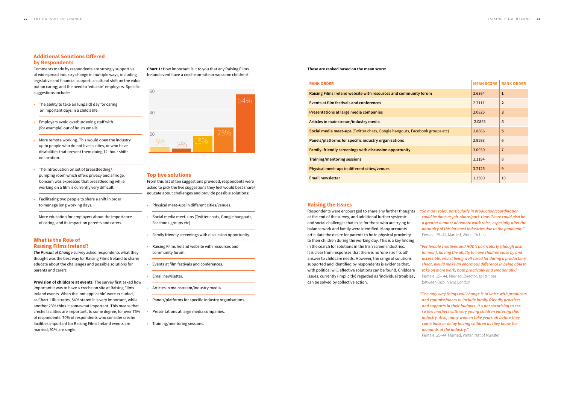**Chart 1:** How important is it to you that any Raising Films 80 Ireland event have a creche on–site or welcome children?

#### **Top five solutions**

From this list of ten suggestions provided, respondents were asked to pick the five suggestions they feel would best share/ educate about challenges and provide possible solutions:

- Physical meet–ups in different cities/venues.
- Social media meet–ups (Twitter chats, Google hangouts, Facebook groups etc).
- Family friendly screenings with discussion opportunity.
- Raising Films Ireland website with resources and community forum.
- Events at film festivals and conferences.
- Email newsletter.
- Articles in mainstream/industry media.
- Panels/platforms for specific industry organisations.
- Presentations at large media companies.
- Training/mentoring sessions.



#### **Additional Solutions Offered by Respondents**

- The ability to take an (unpaid) day for caring or important days in a child's life.
- Employers avoid overburdening staff with (for example) out of hours emails.
- More remote working. This would open the industry up to people who do not live in cities, or who have disabilities that prevent them doing 12–hour shifts on location.
- The introduction on set of breastfeeding/ pumping room which offers privacy and a fridge. Concern was expressed that breastfeeding while working on a film is currently very difficult.
- Facilitating two people to share a shift in order to manage long working days.
- More education for employers about the importance of caring, and its impact on parents and carers.

Comments made by respondents are strongly supportive of widespread industry change in multiple ways, including legislative and financial support; a cultural shift on the value put on caring; and the need to 'educate' employers. Specific suggestions include:

#### **What is the Role of Raising Films Ireland?**

*The Pursuit of Change* survey asked respondents what they thought was the best way for Raising Films Ireland to share/ educate about the challenges and possible solutions for parents and carers.

**Provision of childcare at events**. The survey first asked how important it was to have a creche on site at Raising Films Ireland events. When the 'not applicable' were excluded, as Chart 1 illustrates, 54% stated it is very important, while another 23% think it somewhat important. This means that creche facilities are important, to some degree, for over 75% of respondents. 70% of respondents who consider creche facilities important for Raising Films Ireland events are married, 91% are single.

#### **Raising the Issues**

Respondents were encouraged to share any further thoughts at the end of the survey, and additional further systemic and social challenges that exist for those who are trying to balance work and family were identified. Many accounts articulate the desire for parents to be in physical proximity to their children during the working day. This is a key finding in the search for solutions in the Irish screen industries. It is clear from responses that there is no 'one size fits all' answer to childcare needs. However, the range of solutions supported and identified by respondents is evidence that, with political will, effective solutions can be found. Childcare issues, currently (implicitly) regarded as 'individual troubles', can be solved by collective action.

- 
- 
- 

**These are ranked based on the mean score:** 

*"So many roles, particularly in production/coordination could be done as job–share/part–time. There could also be a greater number of remote work roles, especially after the normalcy of this for most industries due to the pandemic."*  Female, 25–44, Married, Writer, Dublin

*"For female creatives and HOD's particularly (though also for men), having the ability to have children close by and accessible, whilst being well cared for during a production/ shoot, would make an enormous difference in being able to take on more work, both practically and emotionally."* 

Female, 25– 44, Married, Director, splits time between Dublin and London

*"The only way things will change is to liaise with producers and commissioners to include family friendly practices and supports in their budgets. It's not surprising to see so few mothers with very young children entering this industry. Also, many women take years off before they come back or delay having children as they know the demands of the industry."* 

Female, 25–44, Married, Writer, rest of Munster

| <b>RANK ORDER</b>                                                           | <b>MEAN SCORE</b> | <b>RANK ORDER</b>       |
|-----------------------------------------------------------------------------|-------------------|-------------------------|
| Raising Films Ireland website with resources and community forum            | 2.6364            | 1                       |
| Events at film festivals and conferences                                    | 2.7111            | $\overline{2}$          |
| Presentations at large media companies                                      | 2.0825            | $\overline{\mathbf{3}}$ |
| Articles in mainstream/industry media                                       | 2.0845            | 4                       |
| Social media meet-ups (Twitter chats, Google hangouts, Facebook groups etc) | 2.8866            | 5                       |
| Panels/platforms for specific industry organisations                        | 2.9593            | 6                       |
| Family-friendly screenings with discussion opportunity                      | 3.0930            | $\overline{7}$          |
| Training/mentoring sessions                                                 | 3.1194            | 8                       |
| Physical meet-ups in different cities/venues                                | 3.2125            | 9                       |
| <b>Email newsletter</b>                                                     | 3.3500            | 10                      |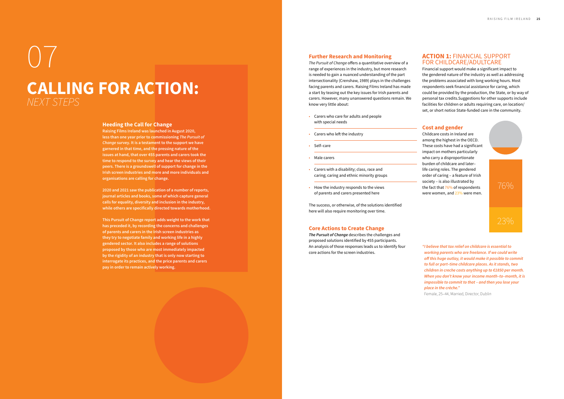*The Pursuit of Change* offers a quantitative overview of a range of experiences in the industry, but more research is needed to gain a nuanced understanding of the part intersectionality (Crenshaw, 1989) plays in the challenges facing parents and carers. Raising Films Ireland has made a start by teasing out the key issues for Irish parents and carers. However, many unanswered questions remain. We know very little about:<br>• Carers who care for adults and people

#### **Further Research and Monitoring**

- with special needs
- Carers who left the industry
- Self–care
- Male carers
- Carers with a disability; class, race and caring; caring and ethnic minority groups
- How the industry responds to the views of parents and carers presented here

The success, or otherwise, of the solutions identified here will also require monitoring over time.

#### **Core Actions to Create Change**

*The Pursuit of Change* describes the challenges and proposed solutions identified by 455 participants. An analysis of those responses leads us to identify four core actions for the screen industries.

#### **ACTION 1:** FINANCIAL SUPPORT FOR CHILDCARE/ADULTCARE

Financial support would make a significant impact to the gendered nature of the industry as well as addressing the problems associated with long working hours. Most respondents seek financial assistance for caring, which could be provided by the production, the State, or by way of personal tax credits.Suggestions for other supports include facilities for children or adults requiring care, on location/ set, or short notice State-funded care in the community.

#### **Cost and gender**

Childcare costs in Ireland are among the highest in the OECD. These costs have had a significant impact on mothers particularly who carry a disproportionate burden of childcare and later– life caring roles. The gendered order of caring – a feature of Irish society – is also illustrated by the fact that 76% of respondents were women, and 23% were men.

*"I believe that tax relief on childcare is essential to working parents who are freelance. If we could write off this huge outlay, it would make it possible to commit to full or part–time childcare places. As it stands, two children in creche costs anything up to €1850 per month. When you don't know your income month–to–month, it is impossible to commit to that – and then you lose your place in the crèche."* 

Female, 25–44, Married, Director, Dublin



## 07 **CALLING FOR ACTION:**  *NEXT STEPS*

#### **Heeding the Call for Change**

**Raising Films Ireland was launched in August 2020, less than one year prior to commissioning** *The Pursuit of Change* **survey. It is a testament to the support we have garnered in that time, and the pressing nature of the issues at hand, that over 455 parents and carers took the time to respond to the survey and hear the views of their peers. There is a groundswell of support for change in the Irish screen industries and more and more individuals and organisations are calling for change.**

**2020 and 2021 saw the publication of a number of reports, journal articles and books, some of which capture general calls for equality, diversity and inclusion in the industry, while others are specifically directed towards motherhood.** 

**This Pursuit of Change report adds weight to the work that has preceded it, by recording the concerns and challenges of parents and carers in the Irish screen industries as they try to negotiate family and working life in a highly gendered sector. It also includes a range of solutions proposed by those who are most immediately impacted by the rigidity of an industry that is only now starting to interrogate its practices, and the price parents and carers pay in order to remain actively working.**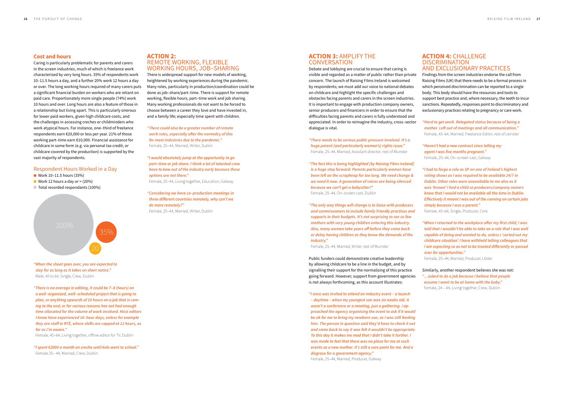#### **Cost and hours**

Caring is particularly problematic for parents and carers in the screen industries, much of which is freelance work characterised by very long hours. 35% of respondents work 10–11.5 hours a day, and a further 20% work 12 hours a day or over. The long working hours required of many carers puts a significant financial burden on workers who are reliant on paid care. Proportionately more single people (74%) work 10 hours and over. Long hours are also a feature of those in a relationship but living apart. This is particularly onerous for lower paid workers, given high childcare costs, and the challenges in accessing creches or childminders who work atypical hours. For instance, one–third of freelance respondents earn €20,000 or less per year. 21% of those working part–time earn €10,000. Financial assistance for childcare in some form (e.g. via personal tax credit, or childcare covered by the production) is supported by the vast majority of respondents.

- Work 10-11.5 hours (35%)
- $\bullet$  Work 12 hours a day or  $>$  (20%)
- Total recorded respondants (100%)

#### **ACTION 3:** AMPLIFY THE **CONVERSATION**

#### Respondent Hours Worked in a Day

- *"When the shoot goes over, you are expected to stay for as long as it takes on short notice."*  Male, 45 to 64, Single, Crew, Dublin
- *"There is no average in editing, it could be 7–8 (hours) on a well–organized, well–scheduled project that is going to plan, or anything upwards of 10 hours on a job that is coming to the end, or for various reasons has not had enough time allocated for the volume of work involved. Most editors I know have experienced 16–hour days, unless for example they are staff in RTÉ, where shifts are capped at 12 hours, as far as I'm aware."*

Female, 45–64, Living together, offline editor for TV, Dublin

*"I spent €2000 a month on creche until kids went to school."*  Female 25– 44, Married, Crew, Dublin

Debate and lobbying are crucial to ensure that caring is visible and regarded as a matter of public rather than private concern. The launch of Raising Films Ireland is welcomed by respondents; we must add our voice to national debates on childcare and highlight the specific challenges and obstacles facing parents and carers in the screen industries. It is important to engage with production company owners, senior producers and financiers in order to ensure that the difficulties facing parents and carers is fully understood and appreciated. In order to reimagine the industry, cross–sector dialogue is vital.

- *"There needs to be serious public pressure involved. It's a huge parent (and particularly women's) rights issue."*  Female, 25–44, Married, Assistant director, rest of Munster
- *"The fact this is being highlighted [by Raising Films Ireland] is a huge step forward. Parents particularly women have been left on the scrapheap for too long. We need change & we need it now. A generation of voices are being silenced because we can't get a babysitter!"*

Female, 25–44, On–screen cast, Dublin

*"The only way things will change is to liaise with producers and commissioners to include family friendly practices and supports in their budgets. It's not surprising to see so few mothers with very young children entering this industry. Also, many women take years off before they come back or delay having children as they know the demands of the industry."* 

Female, 25–44, Married, Writer, rest of Munster

Public funders could demonstrate creative leadership by allowing childcare to be a line in the budget, and by signalling their support for the normalizing of this practice going forward. However, support from government agencies is not always forthcoming, as this account illustrates:

*"I once was invited to attend an industry event – a launch – daytime – when my youngest son was six weeks old. It wasn't a conference or a meeting, just a gathering. I approached the agency organising the event to ask if it would be ok for me to bring my newborn son, as I was still feeding him. The person in question said they'd have to check it out and came back to say it was felt it wouldn't be appropriate. To this day it makes me mad that I didn't take it further. I was made to feel that there was no place for me at such events as a new mother. It's still a sore point for me. And a disgrace for a government agency."* 

Female, 25–44, Married, Producer, Galway

#### **ACTION 4:** CHALLENGE **DISCRIMINATION** AND EXCLUSIONARY PRACTICES

Findings from the screen industries endorse the call from Raising Films (UK) that there needs to be a formal process in which perceived discrimination can be reported to a single body. This body should have the resources and tools to support best practice and, where necessary, the teeth to incur sanctions. Repeatedly, responses point to discriminatory and exclusionary practices relating to pregnancy or care work.

*"Hard to get work. Relegated status because of being a mother. Left out of meetings and all communication."*  Female, 45–64, Married, Freelance Editor, rest of Leinster

*"Haven't had a new contract since telling my agent I was five months pregnant."*  Female, 25–44, On–screen cast, Galway

*"I had to forgo a role as SP on one of Ireland's highest rating shows as I was required to be available 24/7 in Dublin. Other roles were unavailable to me also as it was 'known' I had a child so producers/company owners knew that I would not be available all the time in Dublin. Effectively it meant I was out of the running on certain jobs simply because I was a parent."* 

Female, 45–64, Single, Producer, Cork

*"When I returned to the workplace after my first child, I was told that I wouldn't be able to take on a role that I was well capable of doing and wanted to do, unless I 'sorted out my childcare situation'. I have withheld telling colleagues that I am expecting so as not to be treated differently or passed over for opportunities."* 

Female, 25–44, Married, Producer, Ulster

Similarly, another respondent believes she was not: *"…asked to do a job because I believe that people assume I want to be at home with the baby."*  Female, 24 – 44, Living together, Crew, Dublin

#### **ACTION 2:**  REMOTE WORKING, FLEXIBLE WORKING HOURS, JOB–SHARING

There is widespread support for new models of working, heightened by working experiences during the pandemic. Many roles, particularly in production/coordination could be done as job–share/part–time. There is support for remote working, flexible hours, part–time work and job sharing. Many working professionals do not want to be forced to choose between a career they love and have invested in, and a family life; especially time spent with children.

*"There could also be a greater number of remote work roles, especially after the normalcy of this for most industries due to the pandemic."*  Female, 25–44, Married, Writer, Dublin

*"I would absolutely jump at the opportunity to go part–time or job share. I think a lot of talented crew have to bow out of the industry early because these options are not there."* 

Female, 25–44, Living together, Education, Galway

*"Considering we have co–production meetings in three different countries remotely, why can't we do more remotely?"*  Female, 25–44, Married, Writer, Dublin

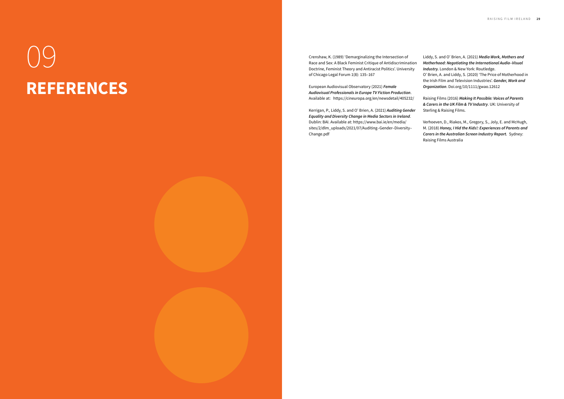## 09 **REFERENCES**

Crenshaw, K. (1989) 'Demarginalizing the Intersection of Race and Sex: A Black Feminist Critique of Antidiscrimination Doctrine, Feminist Theory and Antiracist Politics'. University of Chicago Legal Forum 1(8): 135–167

European Audiovisual Observatory (2021) *Female Audiovisual Professionals in Europe TV Fiction Production*. Available at: https://cineuropa.org/en/newsdetail/405232/

Kerrigan, P., Liddy, S. and O' Brien, A. (2021) *Auditing Gender Equality and Diversity Change in Media Sectors in Ireland*. Dublin: BAI. Available at: https://www.bai.ie/en/media/ sites/2/dlm\_uploads/2021/07/Auditing–Gender–Diversity– Change.pdf

Liddy, S. and O' Brien, A. (2021) *Media Work, Mothers and Motherhood: Negotiating the International Audio–Visual Industry.* London & New York: Routledge.

O' Brien, A. and Liddy, S. (2020) 'The Price of Motherhood in the Irish Film and Television Industries'. *Gender, Work and Organization*. Doi.org/10/1111/gwao.12612

Raising Films (2016) *Making It Possible: Voices of Parents & Carers in the UK Film & TV Industry*. UK: University of Sterling & Raising Films.

Verhoeven, D., Riakos, M., Gregory, S., Joly, E. and McHugh, M. (2018) *Honey, I Hid the Kids!: Experiences of Parents and Carers in the Australian Screen Industry Report.* Sydney: Raising Films Australia